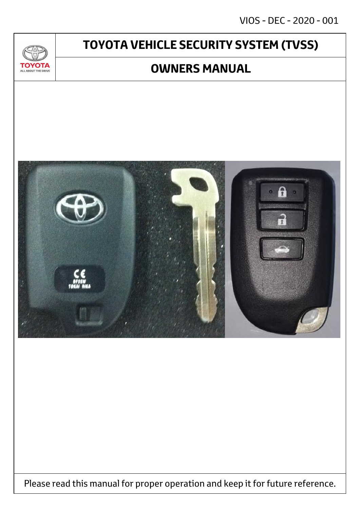VIOS - DEC - 2020 - 001

# **TOYOTA VEHICLE SECURITY SYSTEM (TVSS)**

 $\mathcal{U}$ 

**TOYOTA** ALL ABOUT THE DRIVE

# **OWNERS MANUAL**



Please read this manual for proper operation and keep it for future reference.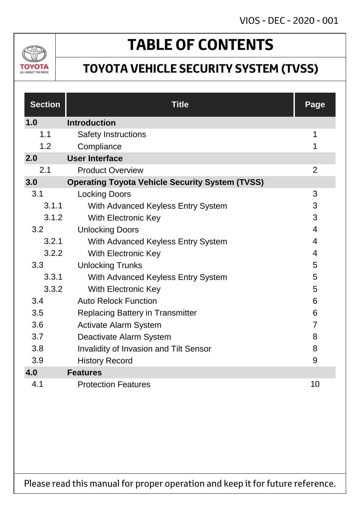# VIOS - DEC - 2020 - 001



# **TABLE OF CONTENTS**

# **TOYOTA VEHICLE SECURITY SYSTEM (TVSS)**

| <b>Section</b> | <b>Title</b>                                           | Page           |
|----------------|--------------------------------------------------------|----------------|
| 1.0            | <b>Introduction</b>                                    |                |
| 1.1            | <b>Safety Instructions</b>                             | 1              |
| 1.2            | Compliance                                             | 1              |
| 2.0            | <b>User Interface</b>                                  |                |
| 2.1            | <b>Product Overview</b>                                | $\overline{2}$ |
| 3.0            | <b>Operating Toyota Vehicle Security System (TVSS)</b> |                |
| 3.1            | <b>Locking Doors</b>                                   | 3              |
| 3.1.1          | With Advanced Keyless Entry System                     | 3              |
| 3.1.2          | <b>With Electronic Key</b>                             | 3              |
| 3.2            | <b>Unlocking Doors</b>                                 | $\overline{4}$ |
| 3.2.1          | With Advanced Keyless Entry System                     | 4              |
| 3.2.2          | <b>With Electronic Key</b>                             | 4              |
| 3.3            | <b>Unlocking Trunks</b>                                | 5              |
| 3.3.1          | With Advanced Keyless Entry System                     | 5              |
| 3.3.2          | <b>With Electronic Key</b>                             | 5              |
| 3.4            | <b>Auto Relock Function</b>                            | 6              |
| 3.5            | <b>Replacing Battery in Transmitter</b>                | 6              |
| 3.6            | <b>Activate Alarm System</b>                           | $\overline{7}$ |
| 3.7            | Deactivate Alarm System                                | 8              |
| 3.8            | <b>Invalidity of Invasion and Tilt Sensor</b>          | 8              |
| 3.9            | <b>History Record</b>                                  | 9              |
| 4.0            | <b>Features</b>                                        |                |
| 4.1            | <b>Protection Features</b>                             | 10             |

Please read this manual for proper operation and keep it for future reference.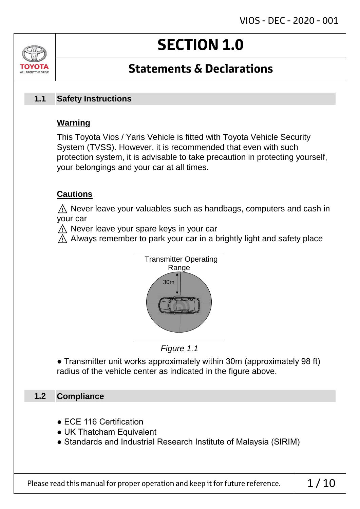# **SECTION 1.0**

# **Statements & Declarations**

#### **Safety Instructions 1.1**

## **Warning**

ALL AROUT THE DRIV

This Toyota Vios / Yaris Vehicle is fitted with Toyota Vehicle Security System (TVSS). However, it is recommended that even with such protection system, it is advisable to take precaution in protecting yourself, your belongings and your car at all times.

## **Cautions**

 $\land$  Never leave your valuables such as handbags, computers and cash in your car

⚠ Never leave your spare keys in your car

 $\wedge$  Always remember to park your car in a brightly light and safety place





● Transmitter unit works approximately within 30m (approximately 98 ft) radius of the vehicle center as indicated in the figure above.

#### **Compliance 1.2**

- ECE 116 Certification
- UK Thatcham Equivalent
- Standards and Industrial Research Institute of Malaysia (SIRIM)

Please read this manual for proper operation and keep it for future reference.  $\vert$  1/10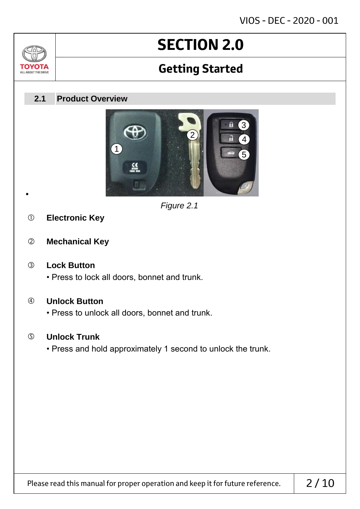# **SECTION 2.0**

# **Getting Started**

#### **Product Overview 2.1**



*Figure 2.1*

**Electronic Key**

•

Jn

TOVOTZ ALL ABOUT THE DRIVE

**Mechanical Key**

## **Lock Button**

• Press to lock all doors, bonnet and trunk.

## **Unlock Button**

• Press to unlock all doors, bonnet and trunk.

## **Unlock Trunk**

• Press and hold approximately 1 second to unlock the trunk.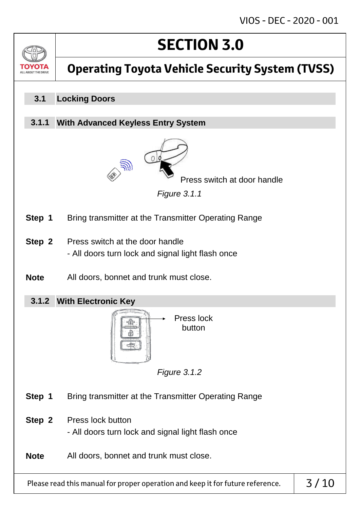

# **Operating Toyota Vehicle Security System (TVSS)**

#### **Locking Doors 3.1**

#### **With Advanced Keyless Entry System 3.1.1**



Press switch at door handle

*Figure 3.1.1*

- **Step 1** Bring transmitter at the Transmitter Operating Range
- **Step 2** Press switch at the door handle - All doors turn lock and signal light flash once
- **Note** All doors, bonnet and trunk must close.
	- **With Electronic Key 3.1.2**



*Figure 3.1.2*

- **Step 1** Bring transmitter at the Transmitter Operating Range
- **Step 2** Press lock button - All doors turn lock and signal light flash once
- **Note** All doors, bonnet and trunk must close.

Please read this manual for proper operation and keep it for future reference.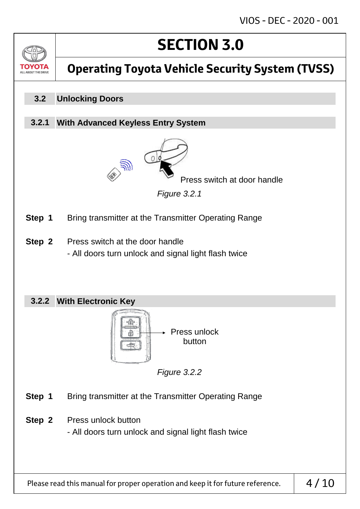

# **Operating Toyota Vehicle Security System (TVSS)**

#### **Unlocking Doors 3.2**

#### **With Advanced Keyless Entry System 3.2.1**



Press switch at door handle

*Figure 3.2.1*

- **Step 1** Bring transmitter at the Transmitter Operating Range
- **Step 2** Press switch at the door handle - All doors turn unlock and signal light flash twice

## **With Electronic Key 3.2.2**



*Figure 3.2.2*

- **Step 1** Bring transmitter at the Transmitter Operating Range
- **Step 2** Press unlock button

- All doors turn unlock and signal light flash twice

Please read this manual for proper operation and keep it for future reference.  $\vert 4/10$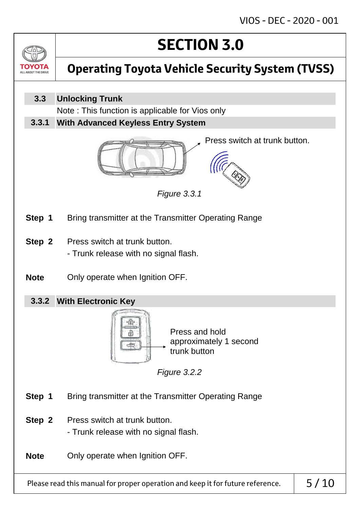

# **Operating Toyota Vehicle Security System (TVSS)**

**Unlocking Trunk 3.3**

Note : This function is applicable for Vios only

**With Advanced Keyless Entry System 3.3.1**



Press switch at trunk button.



- **Step 1** Bring transmitter at the Transmitter Operating Range
- **Step 2** Press switch at trunk button. - Trunk release with no signal flash.
- **Note** Only operate when Ignition OFF.
	- **With Electronic Key 3.3.2**



*Figure 3.2.2*

*Figure 3.3.1*

- **Step 1** Bring transmitter at the Transmitter Operating Range
- **Step 2** Press switch at trunk button.
	- Trunk release with no signal flash.

**Note** Only operate when Ignition OFF.

Please read this manual for proper operation and keep it for future reference.  $\vert$  5/10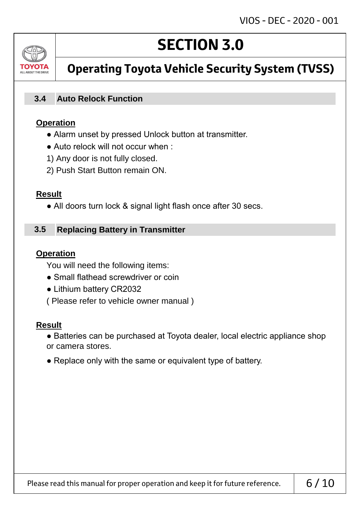

# **Operating Toyota Vehicle Security System (TVSS)**

**SECTION 3.0**

#### **Auto Relock Function 3.4**

## **Operation**

- Alarm unset by pressed Unlock button at transmitter.
- Auto relock will not occur when :
- 1) Any door is not fully closed.
- 2) Push Start Button remain ON.

## **Result**

• All doors turn lock & signal light flash once after 30 secs.

#### **Replacing Battery in Transmitter 3.5**

## **Operation**

You will need the following items:

- Small flathead screwdriver or coin
- Lithium battery CR2032
- ( Please refer to vehicle owner manual )

## **Result**

- Batteries can be purchased at Toyota dealer, local electric appliance shop or camera stores.
- Replace only with the same or equivalent type of battery.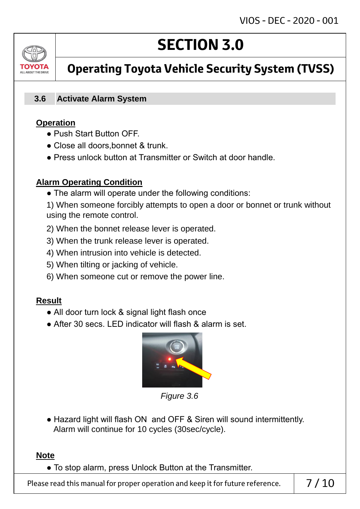# ALL AROUT THE DRIV

# **SECTION 3.0**

# **Operating Toyota Vehicle Security System (TVSS)**

#### **Activate Alarm System 3.6**

## **Operation**

- Push Start Button OFF.
- Close all doors, bonnet & trunk.
- Press unlock button at Transmitter or Switch at door handle.

## **Alarm Operating Condition**

• The alarm will operate under the following conditions:

1) When someone forcibly attempts to open a door or bonnet or trunk without using the remote control.

- 2) When the bonnet release lever is operated.
- 3) When the trunk release lever is operated.
- 4) When intrusion into vehicle is detected.
- 5) When tilting or jacking of vehicle.
- 6) When someone cut or remove the power line.

## **Result**

- All door turn lock & signal light flash once
- After 30 secs. LED indicator will flash & alarm is set.



*Figure 3.6*

• Hazard light will flash ON and OFF & Siren will sound intermittently. Alarm will continue for 10 cycles (30sec/cycle).

## **Note**

● To stop alarm, press Unlock Button at the Transmitter.

Please read this manual for proper operation and keep it for future reference.  $\begin{array}{|c|c|} \hline \text{7 / 10} \end{array}$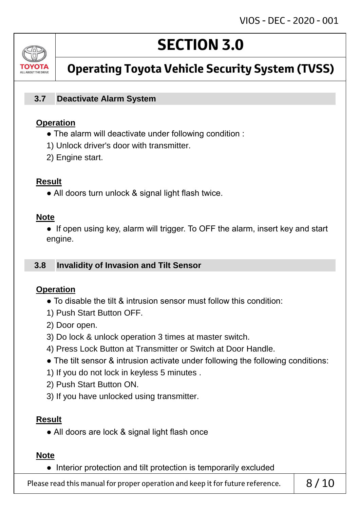# ALL AROUT THE DRI

# **SECTION 3.0**

# **Operating Toyota Vehicle Security System (TVSS)**

#### **Deactivate Alarm System 3.7**

## **Operation**

- The alarm will deactivate under following condition :
- 1) Unlock driver's door with transmitter.
- 2) Engine start.

## **Result**

• All doors turn unlock & signal light flash twice.

## **Note**

• If open using key, alarm will trigger. To OFF the alarm, insert key and start engine.

#### **Invalidity of Invasion and Tilt Sensor 3.8**

## **Operation**

- To disable the tilt & intrusion sensor must follow this condition:
- 1) Push Start Button OFF.
- 2) Door open.
- 3) Do lock & unlock operation 3 times at master switch.
- 4) Press Lock Button at Transmitter or Switch at Door Handle.
- The tilt sensor & intrusion activate under following the following conditions:
- 1) If you do not lock in keyless 5 minutes .
- 2) Push Start Button ON.
- 3) If you have unlocked using transmitter.

## **Result**

• All doors are lock & signal light flash once

## **Note**

● Interior protection and tilt protection is temporarily excluded

Please read this manual for proper operation and keep it for future reference.  $\begin{array}{c} \mid \\ \mid \quad \frac{8}{10} \end{array}$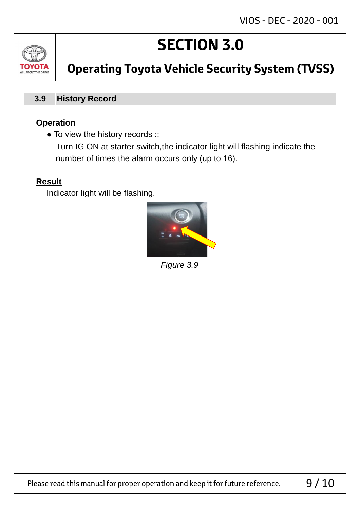

# **Operating Toyota Vehicle Security System (TVSS)**

#### **History Record 3.9**

## **Operation**

• To view the history records ::

 Turn IG ON at starter switch,the indicator light will flashing indicate the number of times the alarm occurs only (up to 16).

## **Result**

Indicator light will be flashing.



*Figure 3.9*